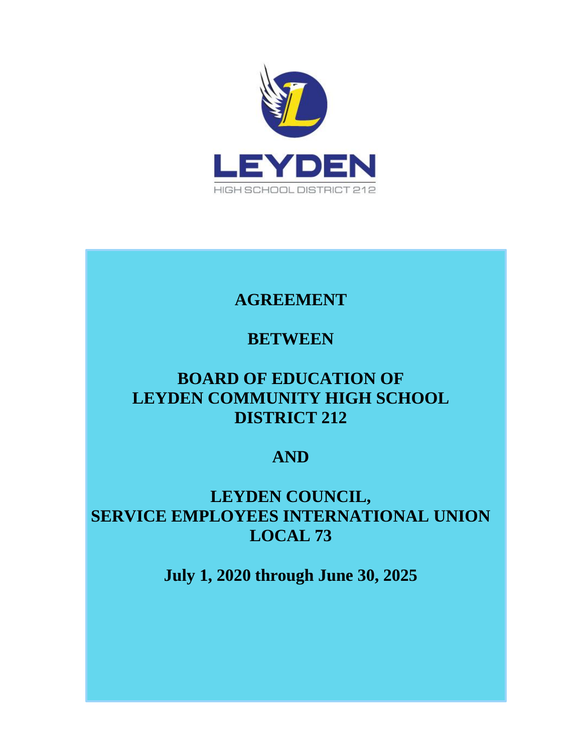

# **AGREEMENT**

# **BETWEEN**

# **BOARD OF EDUCATION OF LEYDEN COMMUNITY HIGH SCHOOL DISTRICT 212**

# **AND**

# **LEYDEN COUNCIL, SERVICE EMPLOYEES INTERNATIONAL UNION LOCAL 73**

**July 1, 2020 through June 30, 2025**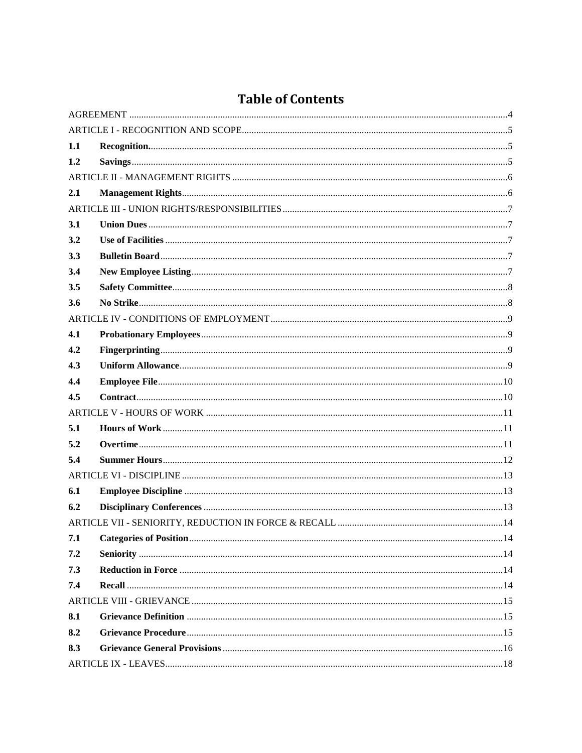# **Table of Contents**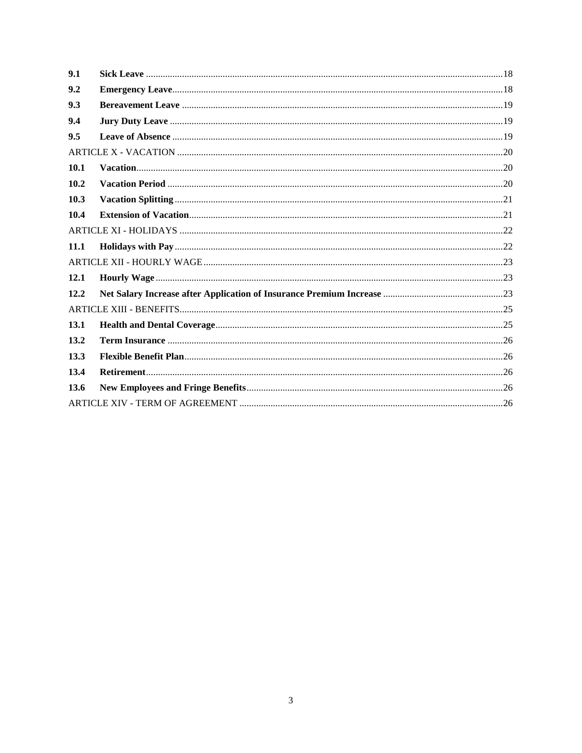| 9.1         |  |  |  |  |
|-------------|--|--|--|--|
| 9.2         |  |  |  |  |
| 9.3         |  |  |  |  |
| 9.4         |  |  |  |  |
| 9.5         |  |  |  |  |
|             |  |  |  |  |
| <b>10.1</b> |  |  |  |  |
| 10.2        |  |  |  |  |
| 10.3        |  |  |  |  |
| 10.4        |  |  |  |  |
|             |  |  |  |  |
| <b>11.1</b> |  |  |  |  |
|             |  |  |  |  |
| <b>12.1</b> |  |  |  |  |
| 12.2        |  |  |  |  |
|             |  |  |  |  |
| 13.1        |  |  |  |  |
| 13.2        |  |  |  |  |
| 13.3        |  |  |  |  |
| 13.4        |  |  |  |  |
| 13.6        |  |  |  |  |
|             |  |  |  |  |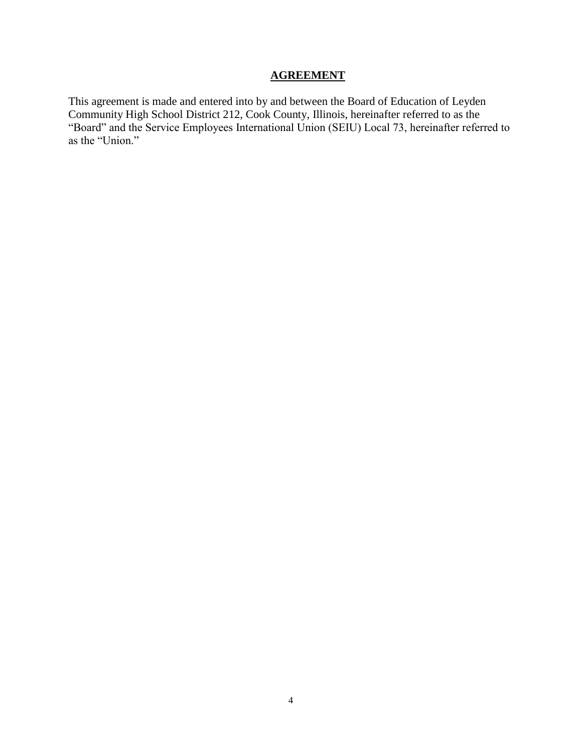## **AGREEMENT**

<span id="page-3-0"></span>This agreement is made and entered into by and between the Board of Education of Leyden Community High School District 212, Cook County, Illinois, hereinafter referred to as the "Board" and the Service Employees International Union (SEIU) Local 73, hereinafter referred to as the "Union."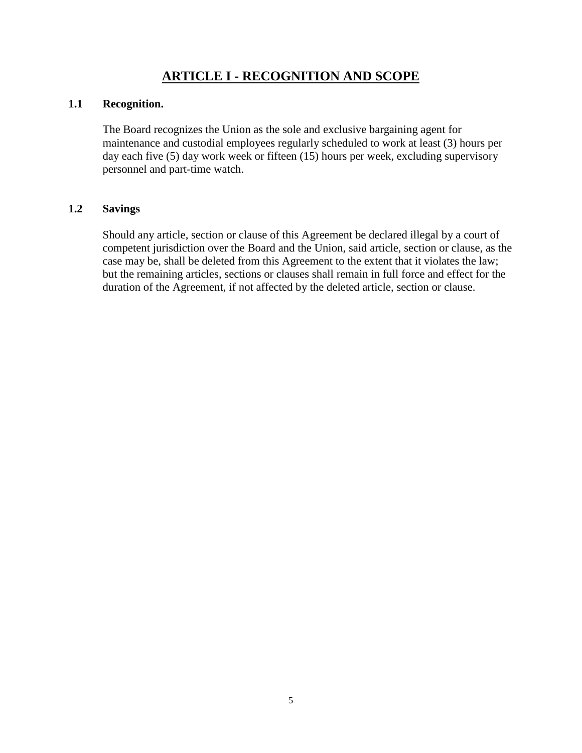# **ARTICLE I - RECOGNITION AND SCOPE**

#### <span id="page-4-1"></span><span id="page-4-0"></span>**1.1 Recognition.**

The Board recognizes the Union as the sole and exclusive bargaining agent for maintenance and custodial employees regularly scheduled to work at least (3) hours per day each five (5) day work week or fifteen (15) hours per week, excluding supervisory personnel and part-time watch.

#### <span id="page-4-2"></span>**1.2 Savings**

Should any article, section or clause of this Agreement be declared illegal by a court of competent jurisdiction over the Board and the Union, said article, section or clause, as the case may be, shall be deleted from this Agreement to the extent that it violates the law; but the remaining articles, sections or clauses shall remain in full force and effect for the duration of the Agreement, if not affected by the deleted article, section or clause.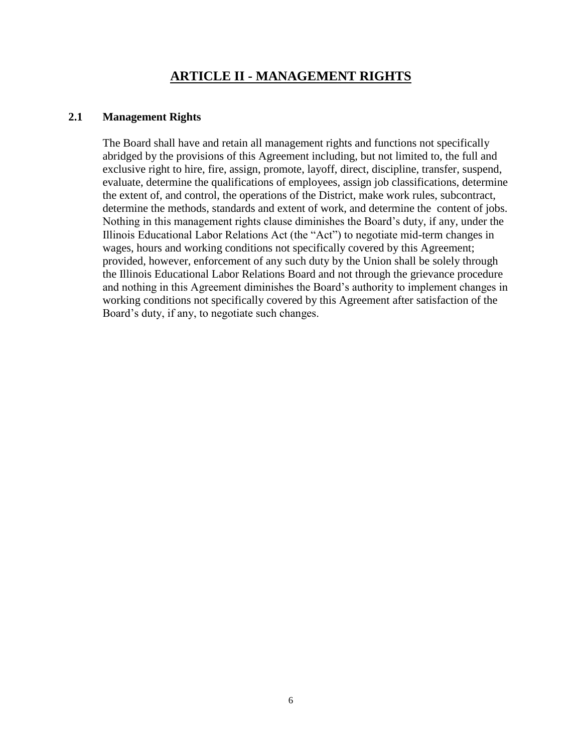# **ARTICLE II - MANAGEMENT RIGHTS**

#### <span id="page-5-1"></span><span id="page-5-0"></span>**2.1 Management Rights**

The Board shall have and retain all management rights and functions not specifically abridged by the provisions of this Agreement including, but not limited to, the full and exclusive right to hire, fire, assign, promote, layoff, direct, discipline, transfer, suspend, evaluate, determine the qualifications of employees, assign job classifications, determine the extent of, and control, the operations of the District, make work rules, subcontract, determine the methods, standards and extent of work, and determine the content of jobs. Nothing in this management rights clause diminishes the Board's duty, if any, under the Illinois Educational Labor Relations Act (the "Act") to negotiate mid-term changes in wages, hours and working conditions not specifically covered by this Agreement; provided, however, enforcement of any such duty by the Union shall be solely through the Illinois Educational Labor Relations Board and not through the grievance procedure and nothing in this Agreement diminishes the Board's authority to implement changes in working conditions not specifically covered by this Agreement after satisfaction of the Board's duty, if any, to negotiate such changes.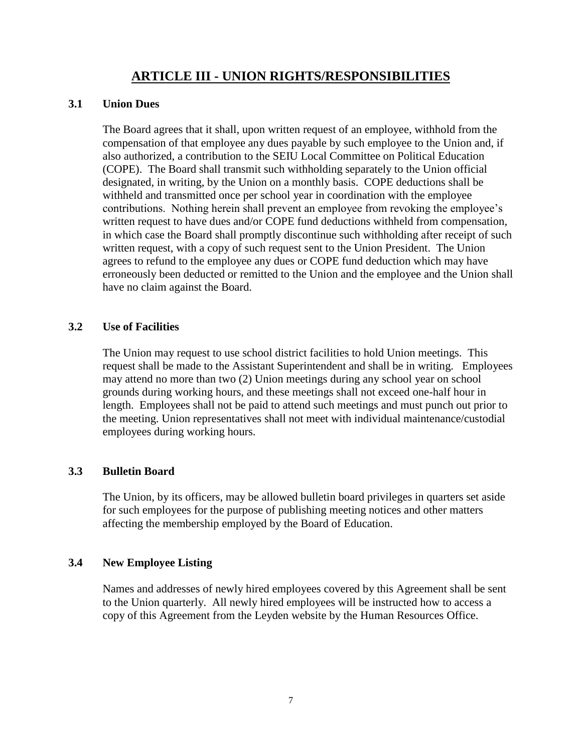# **ARTICLE III - UNION RIGHTS/RESPONSIBILITIES**

#### <span id="page-6-1"></span><span id="page-6-0"></span>**3.1 Union Dues**

The Board agrees that it shall, upon written request of an employee, withhold from the compensation of that employee any dues payable by such employee to the Union and, if also authorized, a contribution to the SEIU Local Committee on Political Education (COPE). The Board shall transmit such withholding separately to the Union official designated, in writing, by the Union on a monthly basis. COPE deductions shall be withheld and transmitted once per school year in coordination with the employee contributions. Nothing herein shall prevent an employee from revoking the employee's written request to have dues and/or COPE fund deductions withheld from compensation, in which case the Board shall promptly discontinue such withholding after receipt of such written request, with a copy of such request sent to the Union President. The Union agrees to refund to the employee any dues or COPE fund deduction which may have erroneously been deducted or remitted to the Union and the employee and the Union shall have no claim against the Board.

#### <span id="page-6-2"></span>**3.2 Use of Facilities**

The Union may request to use school district facilities to hold Union meetings. This request shall be made to the Assistant Superintendent and shall be in writing. Employees may attend no more than two (2) Union meetings during any school year on school grounds during working hours, and these meetings shall not exceed one-half hour in length. Employees shall not be paid to attend such meetings and must punch out prior to the meeting. Union representatives shall not meet with individual maintenance/custodial employees during working hours.

#### <span id="page-6-3"></span>**3.3 Bulletin Board**

The Union, by its officers, may be allowed bulletin board privileges in quarters set aside for such employees for the purpose of publishing meeting notices and other matters affecting the membership employed by the Board of Education.

#### <span id="page-6-4"></span>**3.4 New Employee Listing**

Names and addresses of newly hired employees covered by this Agreement shall be sent to the Union quarterly. All newly hired employees will be instructed how to access a copy of this Agreement from the Leyden website by the Human Resources Office.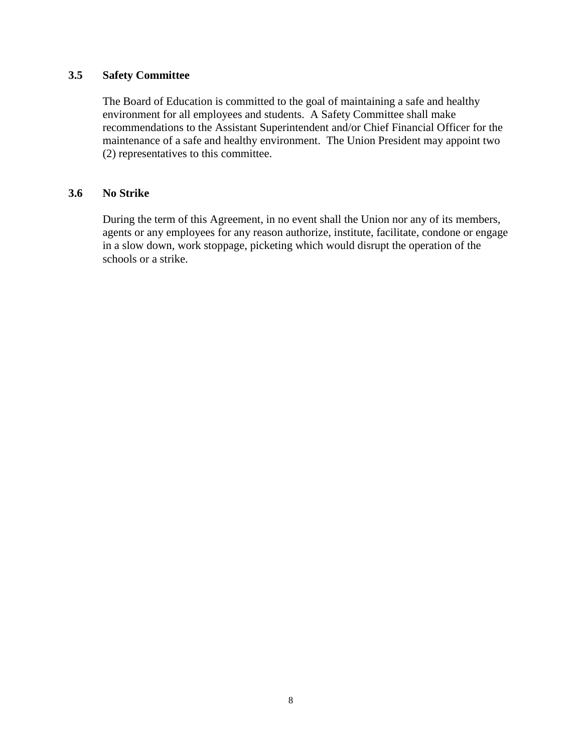## <span id="page-7-0"></span>**3.5 Safety Committee**

The Board of Education is committed to the goal of maintaining a safe and healthy environment for all employees and students. A Safety Committee shall make recommendations to the Assistant Superintendent and/or Chief Financial Officer for the maintenance of a safe and healthy environment. The Union President may appoint two (2) representatives to this committee.

#### <span id="page-7-1"></span>**3.6 No Strike**

During the term of this Agreement, in no event shall the Union nor any of its members, agents or any employees for any reason authorize, institute, facilitate, condone or engage in a slow down, work stoppage, picketing which would disrupt the operation of the schools or a strike.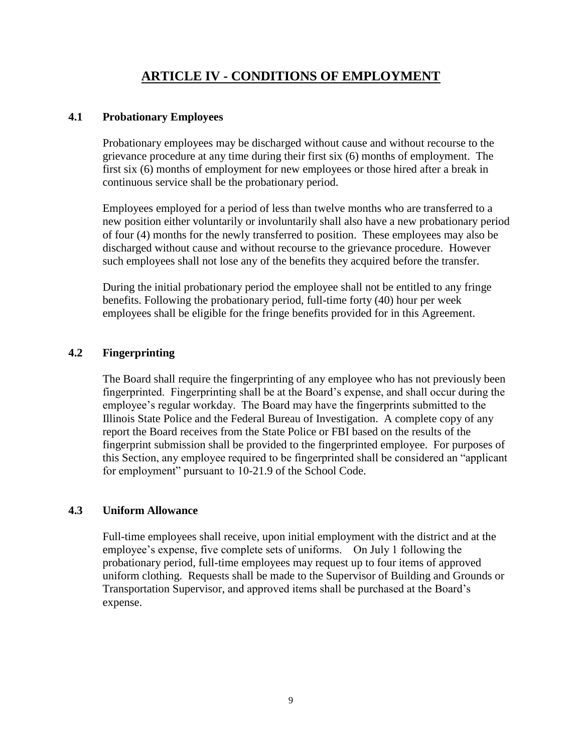# **ARTICLE IV - CONDITIONS OF EMPLOYMENT**

## <span id="page-8-1"></span><span id="page-8-0"></span>**4.1 Probationary Employees**

Probationary employees may be discharged without cause and without recourse to the grievance procedure at any time during their first six (6) months of employment. The first six (6) months of employment for new employees or those hired after a break in continuous service shall be the probationary period.

Employees employed for a period of less than twelve months who are transferred to a new position either voluntarily or involuntarily shall also have a new probationary period of four (4) months for the newly transferred to position. These employees may also be discharged without cause and without recourse to the grievance procedure. However such employees shall not lose any of the benefits they acquired before the transfer.

During the initial probationary period the employee shall not be entitled to any fringe benefits. Following the probationary period, full-time forty (40) hour per week employees shall be eligible for the fringe benefits provided for in this Agreement.

# <span id="page-8-2"></span>**4.2 Fingerprinting**

The Board shall require the fingerprinting of any employee who has not previously been fingerprinted. Fingerprinting shall be at the Board's expense, and shall occur during the employee's regular workday. The Board may have the fingerprints submitted to the Illinois State Police and the Federal Bureau of Investigation. A complete copy of any report the Board receives from the State Police or FBI based on the results of the fingerprint submission shall be provided to the fingerprinted employee. For purposes of this Section, any employee required to be fingerprinted shall be considered an "applicant for employment" pursuant to 10-21.9 of the School Code.

#### <span id="page-8-3"></span>**4.3 Uniform Allowance**

Full-time employees shall receive, upon initial employment with the district and at the employee's expense, five complete sets of uniforms. On July 1 following the probationary period, full-time employees may request up to four items of approved uniform clothing. Requests shall be made to the Supervisor of Building and Grounds or Transportation Supervisor, and approved items shall be purchased at the Board's expense.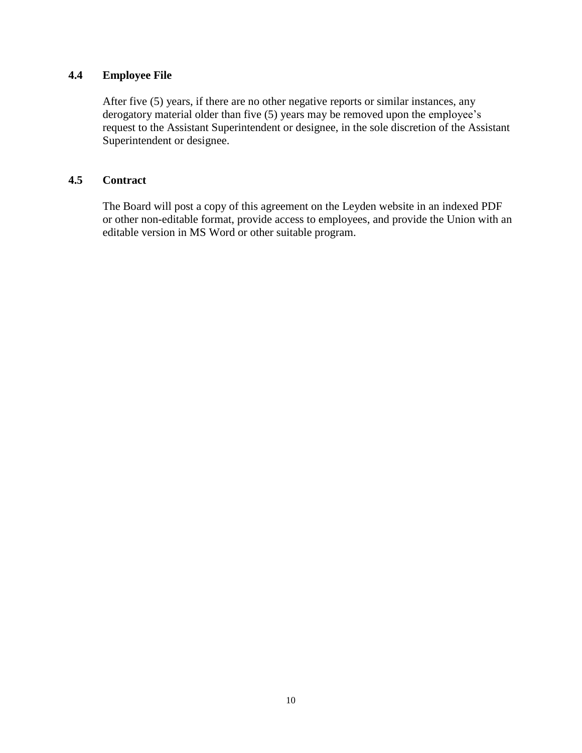## <span id="page-9-0"></span>**4.4 Employee File**

After five (5) years, if there are no other negative reports or similar instances, any derogatory material older than five (5) years may be removed upon the employee's request to the Assistant Superintendent or designee, in the sole discretion of the Assistant Superintendent or designee.

## <span id="page-9-1"></span>**4.5 Contract**

The Board will post a copy of this agreement on the Leyden website in an indexed PDF or other non-editable format, provide access to employees, and provide the Union with an editable version in MS Word or other suitable program.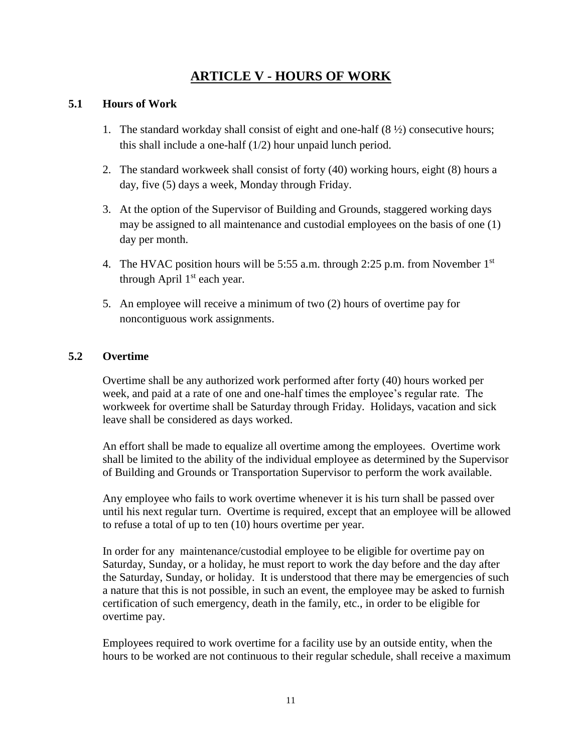# **ARTICLE V - HOURS OF WORK**

## <span id="page-10-1"></span><span id="page-10-0"></span>**5.1 Hours of Work**

- 1. The standard workday shall consist of eight and one-half (8 ½) consecutive hours; this shall include a one-half (1/2) hour unpaid lunch period.
- 2. The standard workweek shall consist of forty (40) working hours, eight (8) hours a day, five (5) days a week, Monday through Friday.
- 3. At the option of the Supervisor of Building and Grounds, staggered working days may be assigned to all maintenance and custodial employees on the basis of one (1) day per month.
- 4. The HVAC position hours will be 5:55 a.m. through 2:25 p.m. from November  $1<sup>st</sup>$ through April  $1<sup>st</sup>$  each year.
- 5. An employee will receive a minimum of two (2) hours of overtime pay for noncontiguous work assignments.

# <span id="page-10-2"></span>**5.2 Overtime**

Overtime shall be any authorized work performed after forty (40) hours worked per week, and paid at a rate of one and one-half times the employee's regular rate. The workweek for overtime shall be Saturday through Friday. Holidays, vacation and sick leave shall be considered as days worked.

An effort shall be made to equalize all overtime among the employees. Overtime work shall be limited to the ability of the individual employee as determined by the Supervisor of Building and Grounds or Transportation Supervisor to perform the work available.

Any employee who fails to work overtime whenever it is his turn shall be passed over until his next regular turn. Overtime is required, except that an employee will be allowed to refuse a total of up to ten (10) hours overtime per year.

In order for any maintenance/custodial employee to be eligible for overtime pay on Saturday, Sunday, or a holiday, he must report to work the day before and the day after the Saturday, Sunday, or holiday. It is understood that there may be emergencies of such a nature that this is not possible, in such an event, the employee may be asked to furnish certification of such emergency, death in the family, etc., in order to be eligible for overtime pay.

Employees required to work overtime for a facility use by an outside entity, when the hours to be worked are not continuous to their regular schedule, shall receive a maximum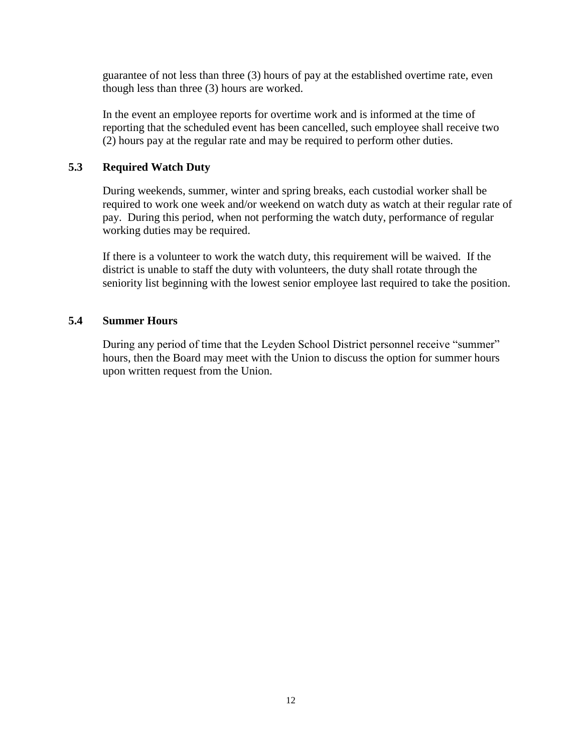guarantee of not less than three (3) hours of pay at the established overtime rate, even though less than three (3) hours are worked.

In the event an employee reports for overtime work and is informed at the time of reporting that the scheduled event has been cancelled, such employee shall receive two (2) hours pay at the regular rate and may be required to perform other duties.

## **5.3 Required Watch Duty**

During weekends, summer, winter and spring breaks, each custodial worker shall be required to work one week and/or weekend on watch duty as watch at their regular rate of pay. During this period, when not performing the watch duty, performance of regular working duties may be required.

If there is a volunteer to work the watch duty, this requirement will be waived. If the district is unable to staff the duty with volunteers, the duty shall rotate through the seniority list beginning with the lowest senior employee last required to take the position.

## <span id="page-11-0"></span>**5.4 Summer Hours**

During any period of time that the Leyden School District personnel receive "summer" hours, then the Board may meet with the Union to discuss the option for summer hours upon written request from the Union.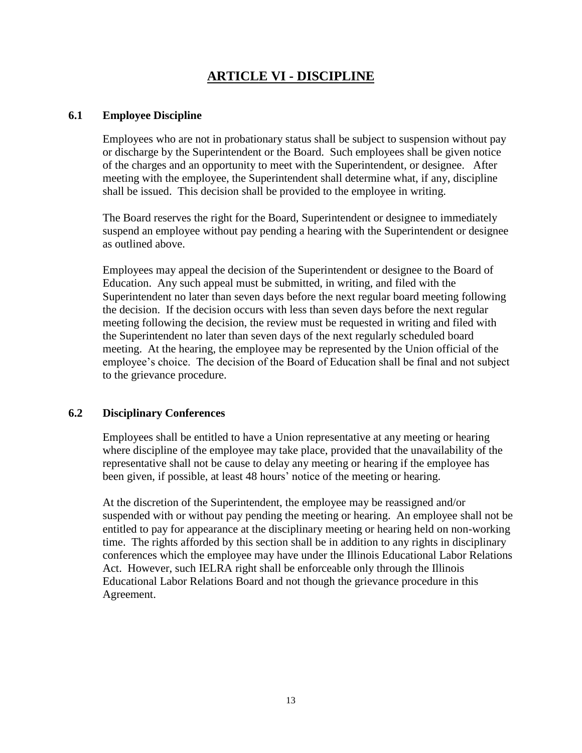# **ARTICLE VI - DISCIPLINE**

### <span id="page-12-1"></span><span id="page-12-0"></span>**6.1 Employee Discipline**

Employees who are not in probationary status shall be subject to suspension without pay or discharge by the Superintendent or the Board. Such employees shall be given notice of the charges and an opportunity to meet with the Superintendent, or designee. After meeting with the employee, the Superintendent shall determine what, if any, discipline shall be issued. This decision shall be provided to the employee in writing.

The Board reserves the right for the Board, Superintendent or designee to immediately suspend an employee without pay pending a hearing with the Superintendent or designee as outlined above.

Employees may appeal the decision of the Superintendent or designee to the Board of Education. Any such appeal must be submitted, in writing, and filed with the Superintendent no later than seven days before the next regular board meeting following the decision. If the decision occurs with less than seven days before the next regular meeting following the decision, the review must be requested in writing and filed with the Superintendent no later than seven days of the next regularly scheduled board meeting. At the hearing, the employee may be represented by the Union official of the employee's choice. The decision of the Board of Education shall be final and not subject to the grievance procedure.

#### <span id="page-12-2"></span>**6.2 Disciplinary Conferences**

Employees shall be entitled to have a Union representative at any meeting or hearing where discipline of the employee may take place, provided that the unavailability of the representative shall not be cause to delay any meeting or hearing if the employee has been given, if possible, at least 48 hours' notice of the meeting or hearing.

At the discretion of the Superintendent, the employee may be reassigned and/or suspended with or without pay pending the meeting or hearing. An employee shall not be entitled to pay for appearance at the disciplinary meeting or hearing held on non-working time. The rights afforded by this section shall be in addition to any rights in disciplinary conferences which the employee may have under the Illinois Educational Labor Relations Act. However, such IELRA right shall be enforceable only through the Illinois Educational Labor Relations Board and not though the grievance procedure in this Agreement.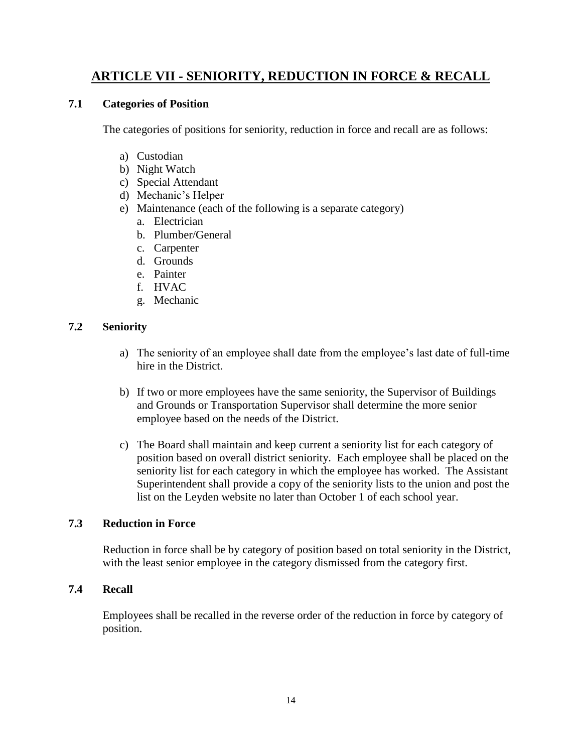# <span id="page-13-0"></span>**ARTICLE VII - SENIORITY, REDUCTION IN FORCE & RECALL**

## <span id="page-13-1"></span>**7.1 Categories of Position**

The categories of positions for seniority, reduction in force and recall are as follows:

- a) Custodian
- b) Night Watch
- c) Special Attendant
- d) Mechanic's Helper
- e) Maintenance (each of the following is a separate category)
	- a. Electrician
	- b. Plumber/General
	- c. Carpenter
	- d. Grounds
	- e. Painter
	- f. HVAC
	- g. Mechanic

# <span id="page-13-2"></span>**7.2 Seniority**

- a) The seniority of an employee shall date from the employee's last date of full-time hire in the District.
- b) If two or more employees have the same seniority, the Supervisor of Buildings and Grounds or Transportation Supervisor shall determine the more senior employee based on the needs of the District.
- c) The Board shall maintain and keep current a seniority list for each category of position based on overall district seniority. Each employee shall be placed on the seniority list for each category in which the employee has worked. The Assistant Superintendent shall provide a copy of the seniority lists to the union and post the list on the Leyden website no later than October 1 of each school year.

# <span id="page-13-3"></span>**7.3 Reduction in Force**

Reduction in force shall be by category of position based on total seniority in the District, with the least senior employee in the category dismissed from the category first.

# <span id="page-13-4"></span>**7.4 Recall**

Employees shall be recalled in the reverse order of the reduction in force by category of position.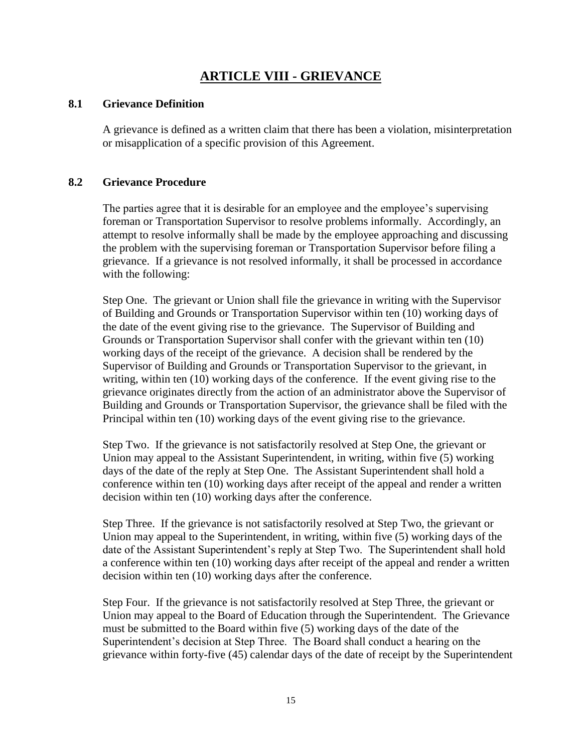# **ARTICLE VIII - GRIEVANCE**

## <span id="page-14-1"></span><span id="page-14-0"></span>**8.1 Grievance Definition**

A grievance is defined as a written claim that there has been a violation, misinterpretation or misapplication of a specific provision of this Agreement.

#### <span id="page-14-2"></span>**8.2 Grievance Procedure**

The parties agree that it is desirable for an employee and the employee's supervising foreman or Transportation Supervisor to resolve problems informally. Accordingly, an attempt to resolve informally shall be made by the employee approaching and discussing the problem with the supervising foreman or Transportation Supervisor before filing a grievance. If a grievance is not resolved informally, it shall be processed in accordance with the following:

Step One. The grievant or Union shall file the grievance in writing with the Supervisor of Building and Grounds or Transportation Supervisor within ten (10) working days of the date of the event giving rise to the grievance. The Supervisor of Building and Grounds or Transportation Supervisor shall confer with the grievant within ten (10) working days of the receipt of the grievance. A decision shall be rendered by the Supervisor of Building and Grounds or Transportation Supervisor to the grievant, in writing, within ten (10) working days of the conference. If the event giving rise to the grievance originates directly from the action of an administrator above the Supervisor of Building and Grounds or Transportation Supervisor, the grievance shall be filed with the Principal within ten (10) working days of the event giving rise to the grievance.

Step Two. If the grievance is not satisfactorily resolved at Step One, the grievant or Union may appeal to the Assistant Superintendent, in writing, within five (5) working days of the date of the reply at Step One. The Assistant Superintendent shall hold a conference within ten (10) working days after receipt of the appeal and render a written decision within ten (10) working days after the conference.

Step Three. If the grievance is not satisfactorily resolved at Step Two, the grievant or Union may appeal to the Superintendent, in writing, within five (5) working days of the date of the Assistant Superintendent's reply at Step Two. The Superintendent shall hold a conference within ten (10) working days after receipt of the appeal and render a written decision within ten (10) working days after the conference.

Step Four. If the grievance is not satisfactorily resolved at Step Three, the grievant or Union may appeal to the Board of Education through the Superintendent. The Grievance must be submitted to the Board within five (5) working days of the date of the Superintendent's decision at Step Three. The Board shall conduct a hearing on the grievance within forty-five (45) calendar days of the date of receipt by the Superintendent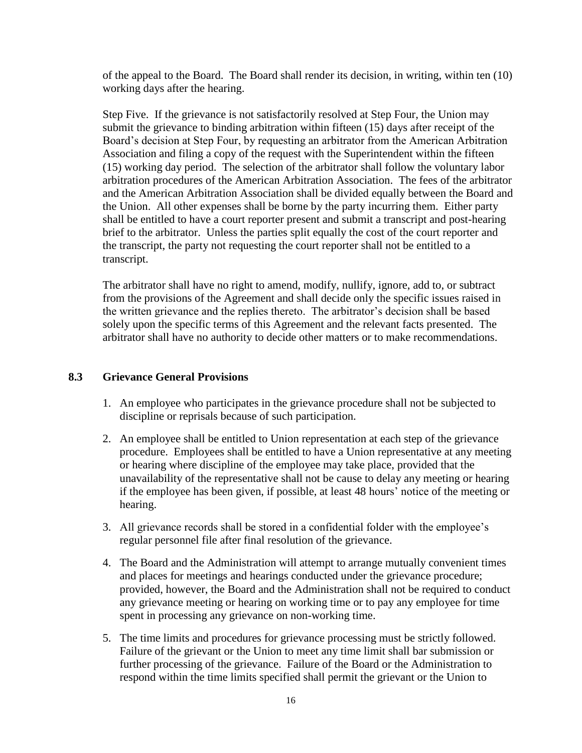of the appeal to the Board. The Board shall render its decision, in writing, within ten (10) working days after the hearing.

Step Five. If the grievance is not satisfactorily resolved at Step Four, the Union may submit the grievance to binding arbitration within fifteen (15) days after receipt of the Board's decision at Step Four, by requesting an arbitrator from the American Arbitration Association and filing a copy of the request with the Superintendent within the fifteen (15) working day period. The selection of the arbitrator shall follow the voluntary labor arbitration procedures of the American Arbitration Association. The fees of the arbitrator and the American Arbitration Association shall be divided equally between the Board and the Union. All other expenses shall be borne by the party incurring them. Either party shall be entitled to have a court reporter present and submit a transcript and post-hearing brief to the arbitrator. Unless the parties split equally the cost of the court reporter and the transcript, the party not requesting the court reporter shall not be entitled to a transcript.

The arbitrator shall have no right to amend, modify, nullify, ignore, add to, or subtract from the provisions of the Agreement and shall decide only the specific issues raised in the written grievance and the replies thereto. The arbitrator's decision shall be based solely upon the specific terms of this Agreement and the relevant facts presented. The arbitrator shall have no authority to decide other matters or to make recommendations.

### <span id="page-15-0"></span>**8.3 Grievance General Provisions**

- 1. An employee who participates in the grievance procedure shall not be subjected to discipline or reprisals because of such participation.
- 2. An employee shall be entitled to Union representation at each step of the grievance procedure. Employees shall be entitled to have a Union representative at any meeting or hearing where discipline of the employee may take place, provided that the unavailability of the representative shall not be cause to delay any meeting or hearing if the employee has been given, if possible, at least 48 hours' notice of the meeting or hearing.
- 3. All grievance records shall be stored in a confidential folder with the employee's regular personnel file after final resolution of the grievance.
- 4. The Board and the Administration will attempt to arrange mutually convenient times and places for meetings and hearings conducted under the grievance procedure; provided, however, the Board and the Administration shall not be required to conduct any grievance meeting or hearing on working time or to pay any employee for time spent in processing any grievance on non-working time.
- 5. The time limits and procedures for grievance processing must be strictly followed. Failure of the grievant or the Union to meet any time limit shall bar submission or further processing of the grievance. Failure of the Board or the Administration to respond within the time limits specified shall permit the grievant or the Union to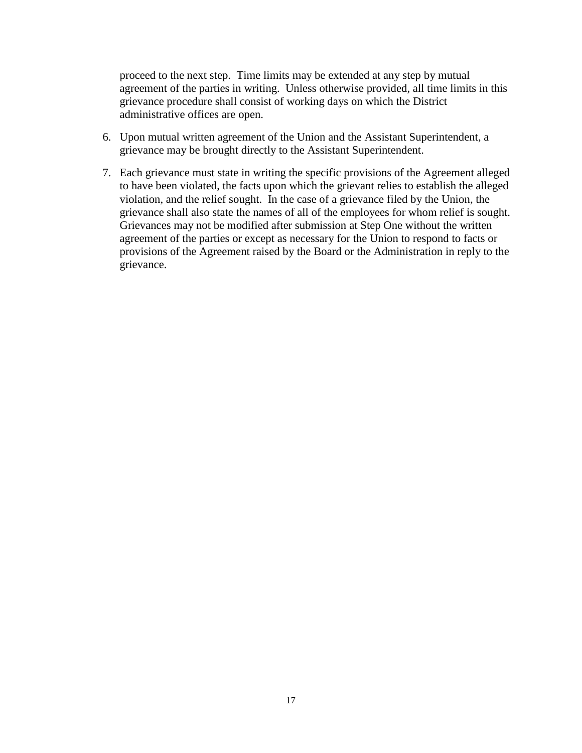proceed to the next step. Time limits may be extended at any step by mutual agreement of the parties in writing. Unless otherwise provided, all time limits in this grievance procedure shall consist of working days on which the District administrative offices are open.

- 6. Upon mutual written agreement of the Union and the Assistant Superintendent, a grievance may be brought directly to the Assistant Superintendent.
- 7. Each grievance must state in writing the specific provisions of the Agreement alleged to have been violated, the facts upon which the grievant relies to establish the alleged violation, and the relief sought. In the case of a grievance filed by the Union, the grievance shall also state the names of all of the employees for whom relief is sought. Grievances may not be modified after submission at Step One without the written agreement of the parties or except as necessary for the Union to respond to facts or provisions of the Agreement raised by the Board or the Administration in reply to the grievance.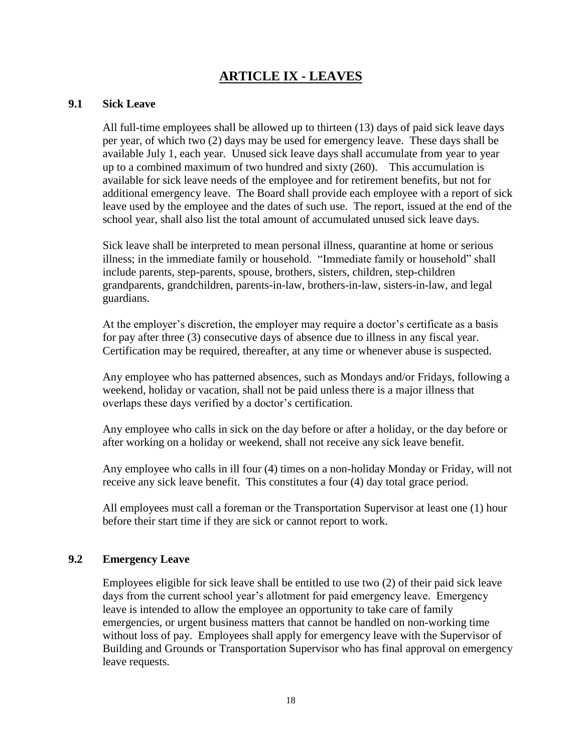# **ARTICLE IX - LEAVES**

#### <span id="page-17-1"></span><span id="page-17-0"></span>**9.1 Sick Leave**

All full-time employees shall be allowed up to thirteen (13) days of paid sick leave days per year, of which two (2) days may be used for emergency leave. These days shall be available July 1, each year. Unused sick leave days shall accumulate from year to year up to a combined maximum of two hundred and sixty (260). This accumulation is available for sick leave needs of the employee and for retirement benefits, but not for additional emergency leave. The Board shall provide each employee with a report of sick leave used by the employee and the dates of such use. The report, issued at the end of the school year, shall also list the total amount of accumulated unused sick leave days.

Sick leave shall be interpreted to mean personal illness, quarantine at home or serious illness; in the immediate family or household. "Immediate family or household" shall include parents, step-parents, spouse, brothers, sisters, children, step-children grandparents, grandchildren, parents-in-law, brothers-in-law, sisters-in-law, and legal guardians.

At the employer's discretion, the employer may require a doctor's certificate as a basis for pay after three (3) consecutive days of absence due to illness in any fiscal year. Certification may be required, thereafter, at any time or whenever abuse is suspected.

Any employee who has patterned absences, such as Mondays and/or Fridays, following a weekend, holiday or vacation, shall not be paid unless there is a major illness that overlaps these days verified by a doctor's certification.

Any employee who calls in sick on the day before or after a holiday, or the day before or after working on a holiday or weekend, shall not receive any sick leave benefit.

Any employee who calls in ill four (4) times on a non-holiday Monday or Friday, will not receive any sick leave benefit. This constitutes a four (4) day total grace period.

All employees must call a foreman or the Transportation Supervisor at least one (1) hour before their start time if they are sick or cannot report to work.

#### <span id="page-17-2"></span>**9.2 Emergency Leave**

Employees eligible for sick leave shall be entitled to use two (2) of their paid sick leave days from the current school year's allotment for paid emergency leave. Emergency leave is intended to allow the employee an opportunity to take care of family emergencies, or urgent business matters that cannot be handled on non-working time without loss of pay. Employees shall apply for emergency leave with the Supervisor of Building and Grounds or Transportation Supervisor who has final approval on emergency leave requests.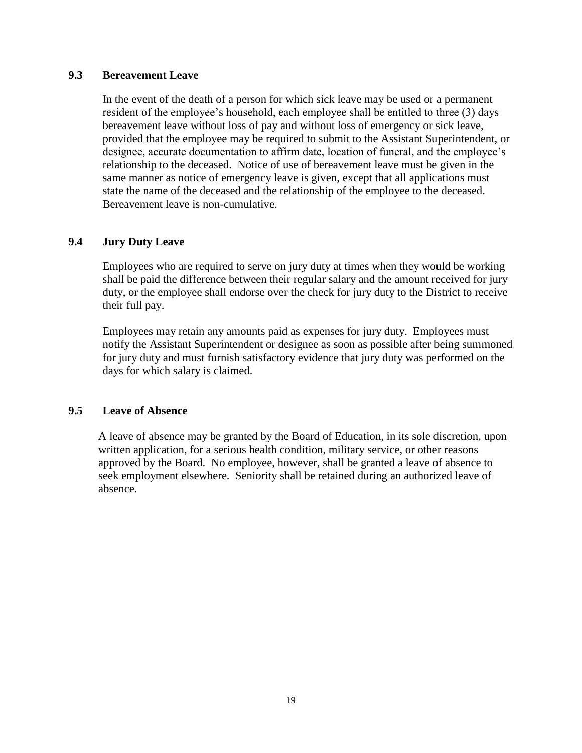## <span id="page-18-0"></span>**9.3 Bereavement Leave**

In the event of the death of a person for which sick leave may be used or a permanent resident of the employee's household, each employee shall be entitled to three (3) days bereavement leave without loss of pay and without loss of emergency or sick leave, provided that the employee may be required to submit to the Assistant Superintendent, or designee, accurate documentation to affirm date, location of funeral, and the employee's relationship to the deceased. Notice of use of bereavement leave must be given in the same manner as notice of emergency leave is given, except that all applications must state the name of the deceased and the relationship of the employee to the deceased. Bereavement leave is non-cumulative.

#### <span id="page-18-1"></span>**9.4 Jury Duty Leave**

Employees who are required to serve on jury duty at times when they would be working shall be paid the difference between their regular salary and the amount received for jury duty, or the employee shall endorse over the check for jury duty to the District to receive their full pay.

Employees may retain any amounts paid as expenses for jury duty. Employees must notify the Assistant Superintendent or designee as soon as possible after being summoned for jury duty and must furnish satisfactory evidence that jury duty was performed on the days for which salary is claimed.

#### <span id="page-18-2"></span>**9.5 Leave of Absence**

A leave of absence may be granted by the Board of Education, in its sole discretion, upon written application, for a serious health condition, military service, or other reasons approved by the Board. No employee, however, shall be granted a leave of absence to seek employment elsewhere. Seniority shall be retained during an authorized leave of absence.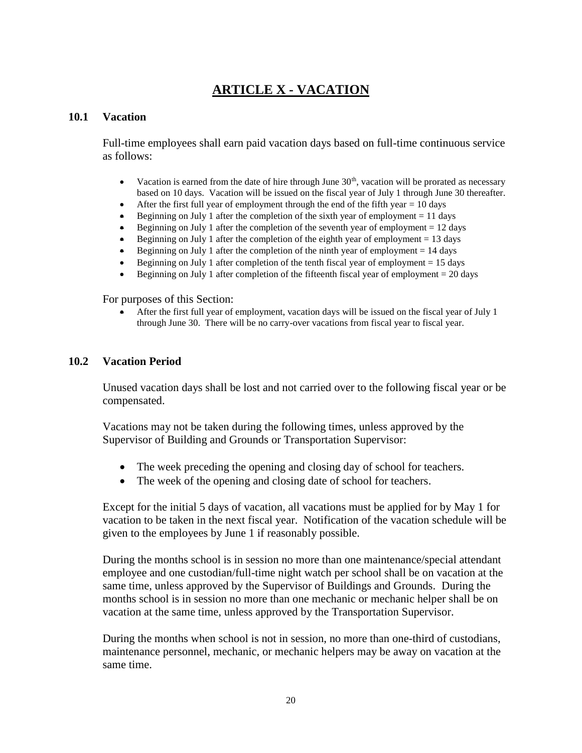# **ARTICLE X - VACATION**

#### <span id="page-19-1"></span><span id="page-19-0"></span>**10.1 Vacation**

Full-time employees shall earn paid vacation days based on full-time continuous service as follows:

- Vacation is earned from the date of hire through June  $30<sup>th</sup>$ , vacation will be prorated as necessary based on 10 days. Vacation will be issued on the fiscal year of July 1 through June 30 thereafter.
- After the first full year of employment through the end of the fifth year  $= 10 \text{ days}$
- Beginning on July 1 after the completion of the sixth year of employment  $= 11$  days
- Beginning on July 1 after the completion of the seventh year of employment  $= 12 \text{ days}$
- Beginning on July 1 after the completion of the eighth year of employment  $= 13$  days
- Beginning on July 1 after the completion of the ninth year of employment  $= 14$  days
- Beginning on July 1 after completion of the tenth fiscal year of employment  $= 15$  days
- Beginning on July 1 after completion of the fifteenth fiscal year of employment  $= 20$  days

For purposes of this Section:

 After the first full year of employment, vacation days will be issued on the fiscal year of July 1 through June 30. There will be no carry-over vacations from fiscal year to fiscal year.

#### <span id="page-19-2"></span>**10.2 Vacation Period**

Unused vacation days shall be lost and not carried over to the following fiscal year or be compensated.

Vacations may not be taken during the following times, unless approved by the Supervisor of Building and Grounds or Transportation Supervisor:

- The week preceding the opening and closing day of school for teachers.
- The week of the opening and closing date of school for teachers.

Except for the initial 5 days of vacation, all vacations must be applied for by May 1 for vacation to be taken in the next fiscal year. Notification of the vacation schedule will be given to the employees by June 1 if reasonably possible.

During the months school is in session no more than one maintenance/special attendant employee and one custodian/full-time night watch per school shall be on vacation at the same time, unless approved by the Supervisor of Buildings and Grounds. During the months school is in session no more than one mechanic or mechanic helper shall be on vacation at the same time, unless approved by the Transportation Supervisor.

During the months when school is not in session, no more than one-third of custodians, maintenance personnel, mechanic, or mechanic helpers may be away on vacation at the same time.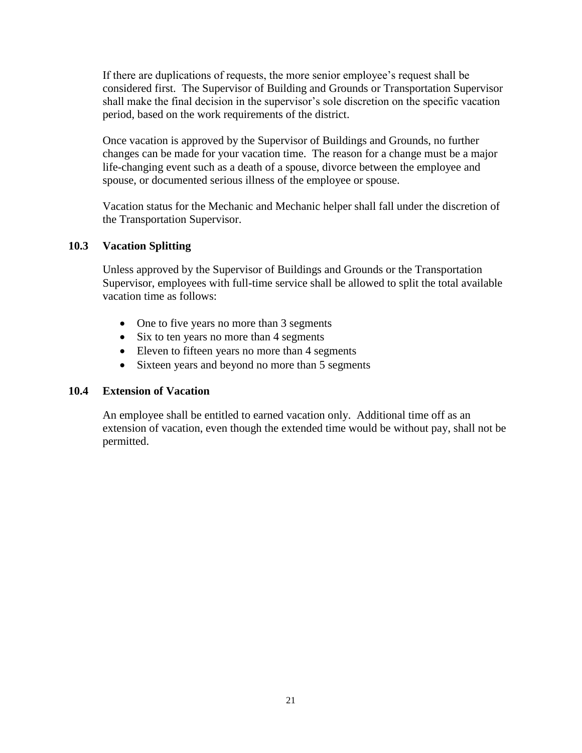If there are duplications of requests, the more senior employee's request shall be considered first. The Supervisor of Building and Grounds or Transportation Supervisor shall make the final decision in the supervisor's sole discretion on the specific vacation period, based on the work requirements of the district.

Once vacation is approved by the Supervisor of Buildings and Grounds, no further changes can be made for your vacation time. The reason for a change must be a major life-changing event such as a death of a spouse, divorce between the employee and spouse, or documented serious illness of the employee or spouse.

Vacation status for the Mechanic and Mechanic helper shall fall under the discretion of the Transportation Supervisor.

## <span id="page-20-0"></span>**10.3 Vacation Splitting**

Unless approved by the Supervisor of Buildings and Grounds or the Transportation Supervisor, employees with full-time service shall be allowed to split the total available vacation time as follows:

- One to five years no more than 3 segments
- Six to ten years no more than 4 segments
- Eleven to fifteen years no more than 4 segments
- Sixteen years and beyond no more than 5 segments

#### <span id="page-20-1"></span>**10.4 Extension of Vacation**

<span id="page-20-2"></span>An employee shall be entitled to earned vacation only. Additional time off as an extension of vacation, even though the extended time would be without pay, shall not be permitted.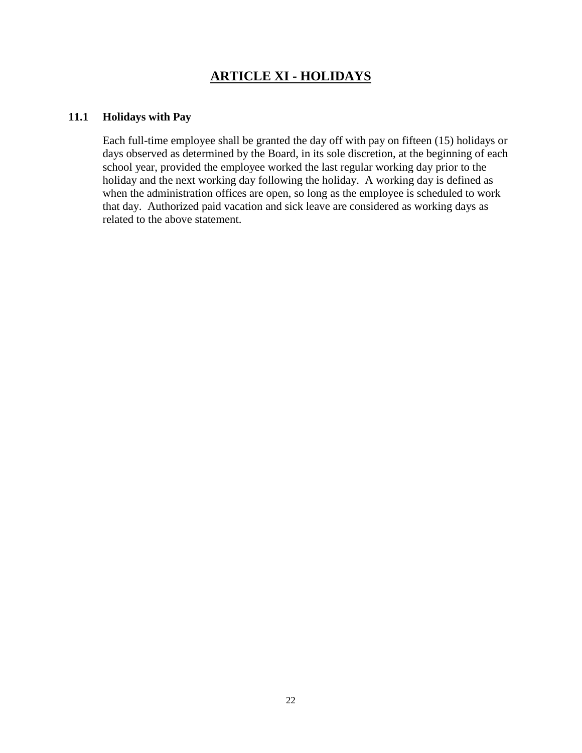# **ARTICLE XI - HOLIDAYS**

#### <span id="page-21-0"></span>**11.1 Holidays with Pay**

<span id="page-21-1"></span>Each full-time employee shall be granted the day off with pay on fifteen (15) holidays or days observed as determined by the Board, in its sole discretion, at the beginning of each school year, provided the employee worked the last regular working day prior to the holiday and the next working day following the holiday. A working day is defined as when the administration offices are open, so long as the employee is scheduled to work that day. Authorized paid vacation and sick leave are considered as working days as related to the above statement.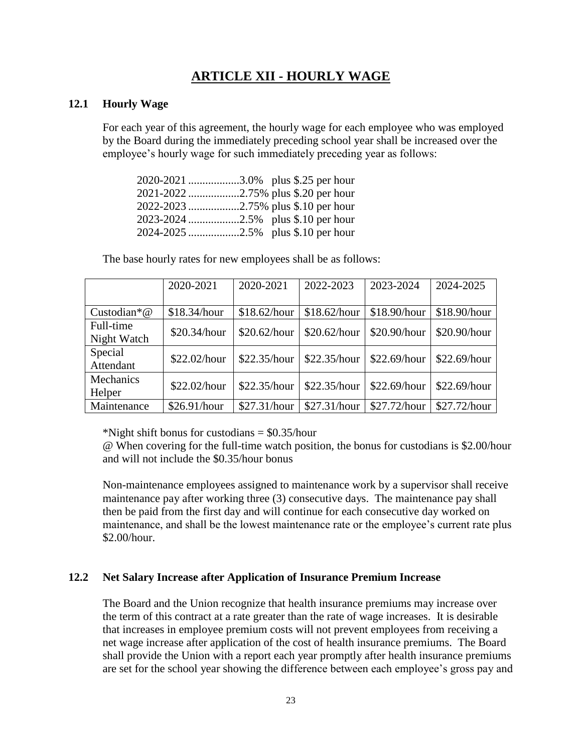# **ARTICLE XII - HOURLY WAGE**

#### <span id="page-22-0"></span>**12.1 Hourly Wage**

For each year of this agreement, the hourly wage for each employee who was employed by the Board during the immediately preceding school year shall be increased over the employee's hourly wage for such immediately preceding year as follows:

| 2020-2021 3.0% plus \$.25 per hour |  |  |  |
|------------------------------------|--|--|--|
|                                    |  |  |  |
|                                    |  |  |  |
|                                    |  |  |  |
| 2024-2025 2.5% plus \$.10 per hour |  |  |  |

The base hourly rates for new employees shall be as follows:

|             | 2020-2021    | 2020-2021    | 2022-2023    | 2023-2024    | 2024-2025    |
|-------------|--------------|--------------|--------------|--------------|--------------|
|             |              |              |              |              |              |
| Custodian*@ | \$18.34/hour | \$18.62/hour | \$18.62/hour | \$18.90/hour | \$18.90/hour |
| Full-time   |              |              |              |              | \$20.90/hour |
| Night Watch | \$20.34/hour | \$20.62/hour | \$20.62/hour | \$20.90/hour |              |
| Special     | \$22.02/hour | \$22.35/hour | \$22.35/hour | \$22.69/hour | \$22.69/hour |
| Attendant   |              |              |              |              |              |
| Mechanics   |              |              | \$22.35/hour |              |              |
| Helper      | \$22.02/hour | \$22.35/hour |              | \$22.69/hour | \$22.69/hour |
| Maintenance | \$26.91/hour | \$27.31/hour | \$27.31/hour | \$27.72/hour | \$27.72/hour |

\*Night shift bonus for custodians  $=$  \$0.35/hour

@ When covering for the full-time watch position, the bonus for custodians is \$2.00/hour and will not include the \$0.35/hour bonus

Non-maintenance employees assigned to maintenance work by a supervisor shall receive maintenance pay after working three (3) consecutive days. The maintenance pay shall then be paid from the first day and will continue for each consecutive day worked on maintenance, and shall be the lowest maintenance rate or the employee's current rate plus \$2.00/hour.

### <span id="page-22-1"></span>**12.2 Net Salary Increase after Application of Insurance Premium Increase**

The Board and the Union recognize that health insurance premiums may increase over the term of this contract at a rate greater than the rate of wage increases. It is desirable that increases in employee premium costs will not prevent employees from receiving a net wage increase after application of the cost of health insurance premiums. The Board shall provide the Union with a report each year promptly after health insurance premiums are set for the school year showing the difference between each employee's gross pay and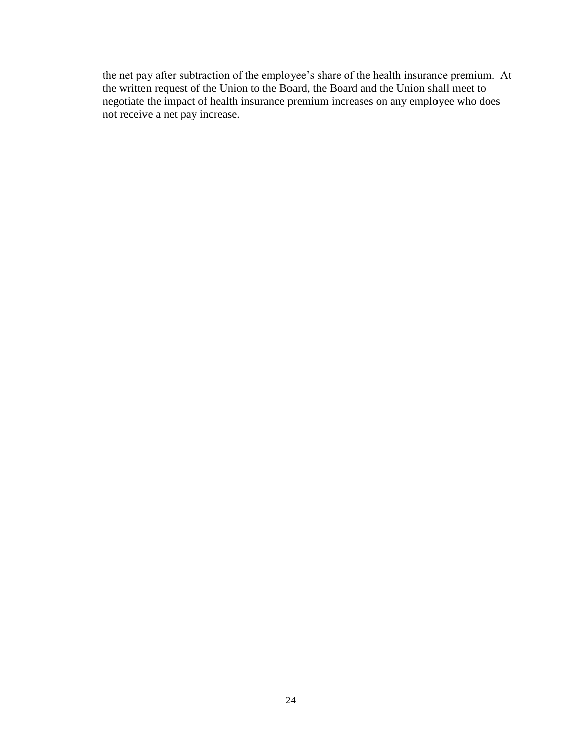<span id="page-23-0"></span>the net pay after subtraction of the employee's share of the health insurance premium. At the written request of the Union to the Board, the Board and the Union shall meet to negotiate the impact of health insurance premium increases on any employee who does not receive a net pay increase.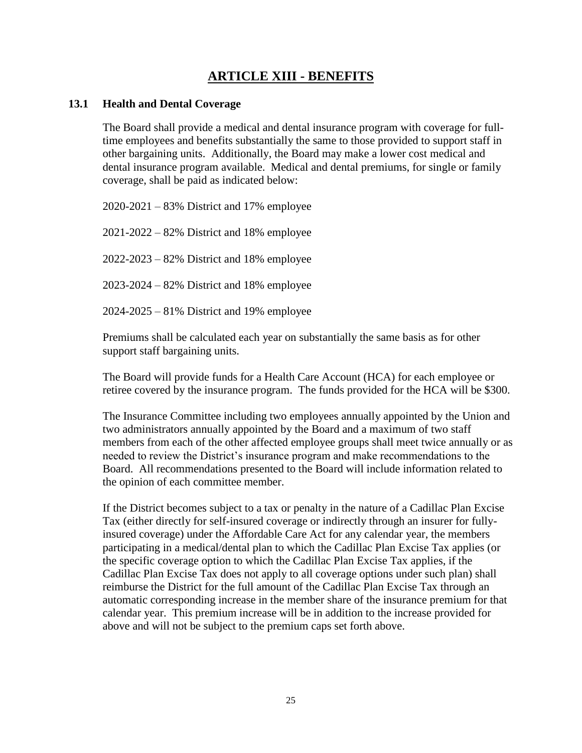# **ARTICLE XIII - BENEFITS**

#### <span id="page-24-0"></span>**13.1 Health and Dental Coverage**

The Board shall provide a medical and dental insurance program with coverage for fulltime employees and benefits substantially the same to those provided to support staff in other bargaining units. Additionally, the Board may make a lower cost medical and dental insurance program available. Medical and dental premiums, for single or family coverage, shall be paid as indicated below:

2020-2021 – 83% District and 17% employee

2021-2022 – 82% District and 18% employee

2022-2023 – 82% District and 18% employee

2023-2024 – 82% District and 18% employee

2024-2025 – 81% District and 19% employee

Premiums shall be calculated each year on substantially the same basis as for other support staff bargaining units.

The Board will provide funds for a Health Care Account (HCA) for each employee or retiree covered by the insurance program. The funds provided for the HCA will be \$300.

The Insurance Committee including two employees annually appointed by the Union and two administrators annually appointed by the Board and a maximum of two staff members from each of the other affected employee groups shall meet twice annually or as needed to review the District's insurance program and make recommendations to the Board. All recommendations presented to the Board will include information related to the opinion of each committee member.

<span id="page-24-1"></span>If the District becomes subject to a tax or penalty in the nature of a Cadillac Plan Excise Tax (either directly for self-insured coverage or indirectly through an insurer for fullyinsured coverage) under the Affordable Care Act for any calendar year, the members participating in a medical/dental plan to which the Cadillac Plan Excise Tax applies (or the specific coverage option to which the Cadillac Plan Excise Tax applies, if the Cadillac Plan Excise Tax does not apply to all coverage options under such plan) shall reimburse the District for the full amount of the Cadillac Plan Excise Tax through an automatic corresponding increase in the member share of the insurance premium for that calendar year. This premium increase will be in addition to the increase provided for above and will not be subject to the premium caps set forth above.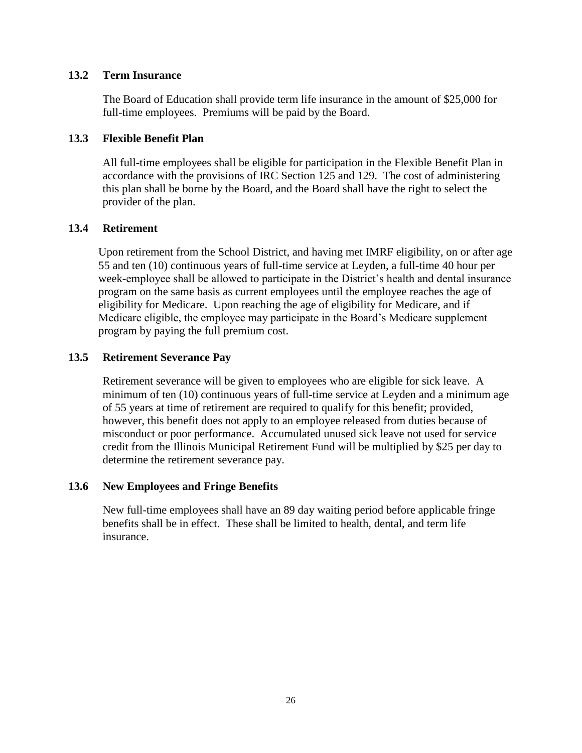## **13.2 Term Insurance**

The Board of Education shall provide term life insurance in the amount of \$25,000 for full-time employees. Premiums will be paid by the Board.

## <span id="page-25-0"></span>**13.3 Flexible Benefit Plan**

All full-time employees shall be eligible for participation in the Flexible Benefit Plan in accordance with the provisions of IRC Section 125 and 129. The cost of administering this plan shall be borne by the Board, and the Board shall have the right to select the provider of the plan.

## <span id="page-25-1"></span>**13.4 Retirement**

Upon retirement from the School District, and having met IMRF eligibility, on or after age 55 and ten (10) continuous years of full-time service at Leyden, a full-time 40 hour per week-employee shall be allowed to participate in the District's health and dental insurance program on the same basis as current employees until the employee reaches the age of eligibility for Medicare. Upon reaching the age of eligibility for Medicare, and if Medicare eligible, the employee may participate in the Board's Medicare supplement program by paying the full premium cost.

## **13.5 Retirement Severance Pay**

Retirement severance will be given to employees who are eligible for sick leave. A minimum of ten (10) continuous years of full-time service at Leyden and a minimum age of 55 years at time of retirement are required to qualify for this benefit; provided, however, this benefit does not apply to an employee released from duties because of misconduct or poor performance. Accumulated unused sick leave not used for service credit from the Illinois Municipal Retirement Fund will be multiplied by \$25 per day to determine the retirement severance pay.

#### <span id="page-25-2"></span>**13.6 New Employees and Fringe Benefits**

<span id="page-25-3"></span>New full-time employees shall have an 89 day waiting period before applicable fringe benefits shall be in effect. These shall be limited to health, dental, and term life insurance.